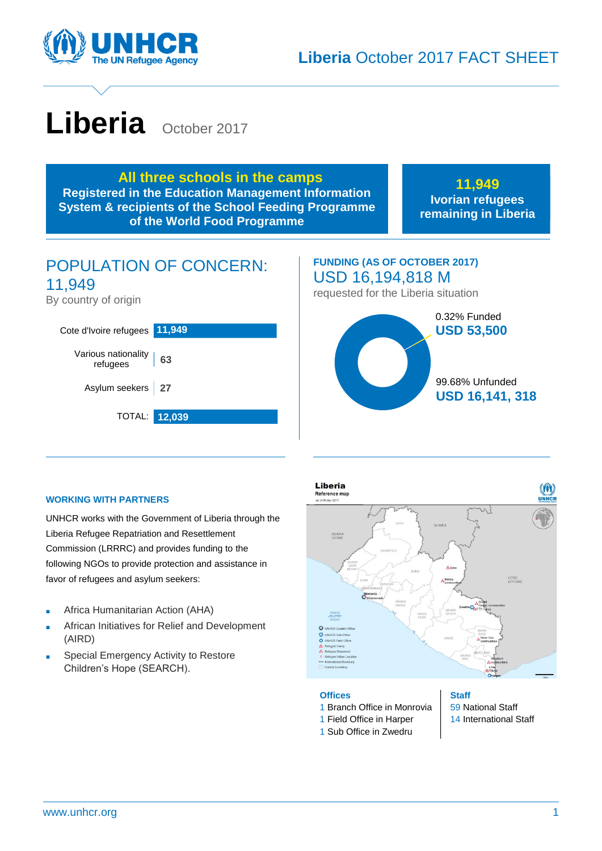

# Liberia October 2017

**All three schools in the camps Registered in the Education Management Information System & recipients of the School Feeding Programme of the World Food Programme**

**11,949 Ivorian refugees remaining in Liberia**

# POPULATION OF CONCERN: 11,949

By country of origin



# **FUNDING (AS OF OCTOBER 2017)** USD 16,194,818 M requested for the Liberia situation 0.32% Funded **USD 53,500** 99.68% Unfunded **USD 16,141, 318**

#### **WORKING WITH PARTNERS**

UNHCR works with the Government of Liberia through the Liberia Refugee Repatriation and Resettlement Commission (LRRRC) and provides funding to the following NGOs to provide protection and assistance in favor of refugees and asylum seekers:

- Africa Humanitarian Action (AHA)
- African Initiatives for Relief and Development (AIRD)
- Special Emergency Activity to Restore Children's Hope (SEARCH).



#### **Offices**

- 1 Branch Office in Monrovia
- 1 Field Office in Harper
- 1 Sub Office in Zwedru

**Staff** 59 National Staff 14 International Staff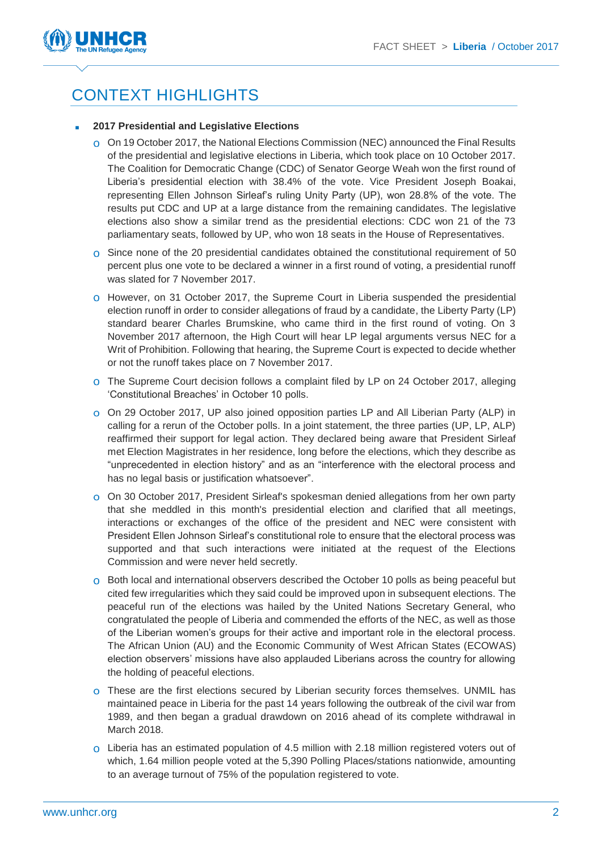

# CONTEXT HIGHLIGHTS

#### ■ **2017 Presidential and Legislative Elections**

- On 19 October 2017, the National Elections Commission (NEC) announced the Final Results of the presidential and legislative elections in Liberia, which took place on 10 October 2017. The Coalition for Democratic Change (CDC) of Senator George Weah won the first round of Liberia's presidential election with 38.4% of the vote. Vice President Joseph Boakai, representing Ellen Johnson Sirleaf's ruling Unity Party (UP), won 28.8% of the vote. The results put CDC and UP at a large distance from the remaining candidates. The legislative elections also show a similar trend as the presidential elections: CDC won 21 of the 73 parliamentary seats, followed by UP, who won 18 seats in the House of Representatives.
- Since none of the 20 presidential candidates obtained the constitutional requirement of 50 percent plus one vote to be declared a winner in a first round of voting, a presidential runoff was slated for 7 November 2017.
- However, on 31 October 2017, the Supreme Court in Liberia suspended the presidential election runoff in order to consider allegations of fraud by a candidate, the Liberty Party (LP) standard bearer Charles Brumskine, who came third in the first round of voting. On 3 November 2017 afternoon, the High Court will hear LP legal arguments versus NEC for a Writ of Prohibition. Following that hearing, the Supreme Court is expected to decide whether or not the runoff takes place on 7 November 2017.
- o The Supreme Court decision follows a complaint filed by LP on 24 October 2017, alleging 'Constitutional Breaches' in October 10 polls.
- o On 29 October 2017, UP also joined opposition parties LP and All Liberian Party (ALP) in calling for a rerun of the October polls. In a joint statement, the three parties (UP, LP, ALP) reaffirmed their support for legal action. They declared being aware that President Sirleaf met Election Magistrates in her residence, long before the elections, which they describe as "unprecedented in election history" and as an "interference with the electoral process and has no legal basis or justification whatsoever".
- On 30 October 2017, President Sirleaf's spokesman denied allegations from her own party that she meddled in this month's presidential election and clarified that all meetings, interactions or exchanges of the office of the president and NEC were consistent with President Ellen Johnson Sirleaf's constitutional role to ensure that the electoral process was supported and that such interactions were initiated at the request of the Elections Commission and were never held secretly.
- o Both local and international observers described the October 10 polls as being peaceful but cited few irregularities which they said could be improved upon in subsequent elections. The peaceful run of the elections was hailed by the United Nations Secretary General, who congratulated the people of Liberia and commended the efforts of the NEC, as well as those of the Liberian women's groups for their active and important role in the electoral process. The African Union (AU) and the Economic Community of West African States (ECOWAS) election observers' missions have also applauded Liberians across the country for allowing the holding of peaceful elections.
- These are the first elections secured by Liberian security forces themselves. UNMIL has maintained peace in Liberia for the past 14 years following the outbreak of the civil war from 1989, and then began a gradual drawdown on 2016 ahead of its complete withdrawal in March 2018.
- Liberia has an estimated population of 4.5 million with 2.18 million registered voters out of which, 1.64 million people voted at the 5,390 Polling Places/stations nationwide, amounting to an average turnout of 75% of the population registered to vote.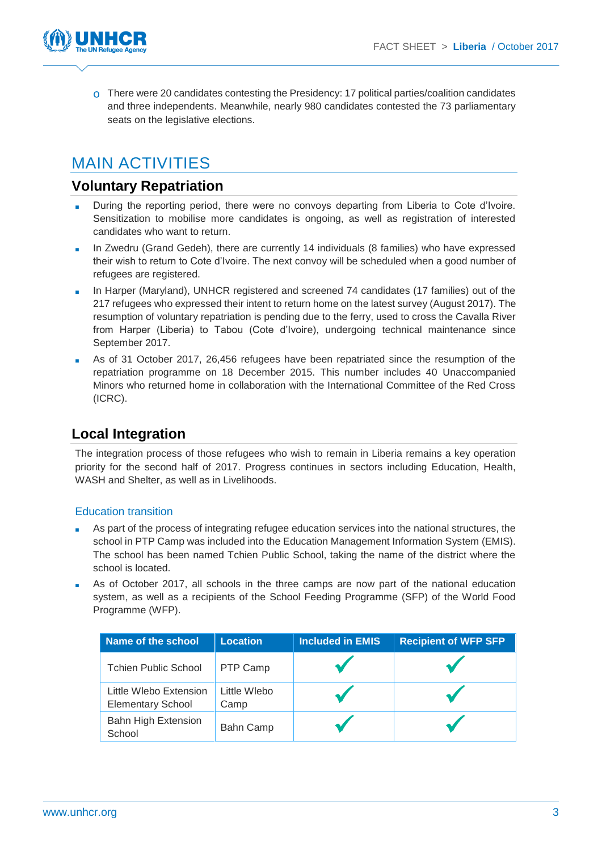

There were 20 candidates contesting the Presidency: 17 political parties/coalition candidates and three independents. Meanwhile, nearly 980 candidates contested the 73 parliamentary seats on the legislative elections.

# MAIN ACTIVITIES

### **Voluntary Repatriation**

- During the reporting period, there were no convoys departing from Liberia to Cote d'Ivoire. Sensitization to mobilise more candidates is ongoing, as well as registration of interested candidates who want to return.
- In Zwedru (Grand Gedeh), there are currently 14 individuals (8 families) who have expressed their wish to return to Cote d'Ivoire. The next convoy will be scheduled when a good number of refugees are registered.
- In Harper (Maryland), UNHCR registered and screened 74 candidates (17 families) out of the 217 refugees who expressed their intent to return home on the latest survey (August 2017). The resumption of voluntary repatriation is pending due to the ferry, used to cross the Cavalla River from Harper (Liberia) to Tabou (Cote d'Ivoire), undergoing technical maintenance since September 2017.
- As of 31 October 2017, 26,456 refugees have been repatriated since the resumption of the repatriation programme on 18 December 2015. This number includes 40 Unaccompanied Minors who returned home in collaboration with the International Committee of the Red Cross (ICRC).

## **Local Integration**

The integration process of those refugees who wish to remain in Liberia remains a key operation priority for the second half of 2017. Progress continues in sectors including Education, Health, WASH and Shelter, as well as in Livelihoods.

#### Education transition

- As part of the process of integrating refugee education services into the national structures, the school in PTP Camp was included into the Education Management Information System (EMIS). The school has been named Tchien Public School, taking the name of the district where the school is located.
- As of October 2017, all schools in the three camps are now part of the national education system, as well as a recipients of the School Feeding Programme (SFP) of the World Food Programme (WFP).

| Name of the school                                 | <b>Location</b>      | <b>Included in EMIS</b> | <b>Recipient of WFP SFP</b> |
|----------------------------------------------------|----------------------|-------------------------|-----------------------------|
| <b>Tchien Public School</b>                        | PTP Camp             |                         |                             |
| Little Wlebo Extension<br><b>Elementary School</b> | Little Wlebo<br>Camp |                         |                             |
| <b>Bahn High Extension</b><br>School               | Bahn Camp            |                         |                             |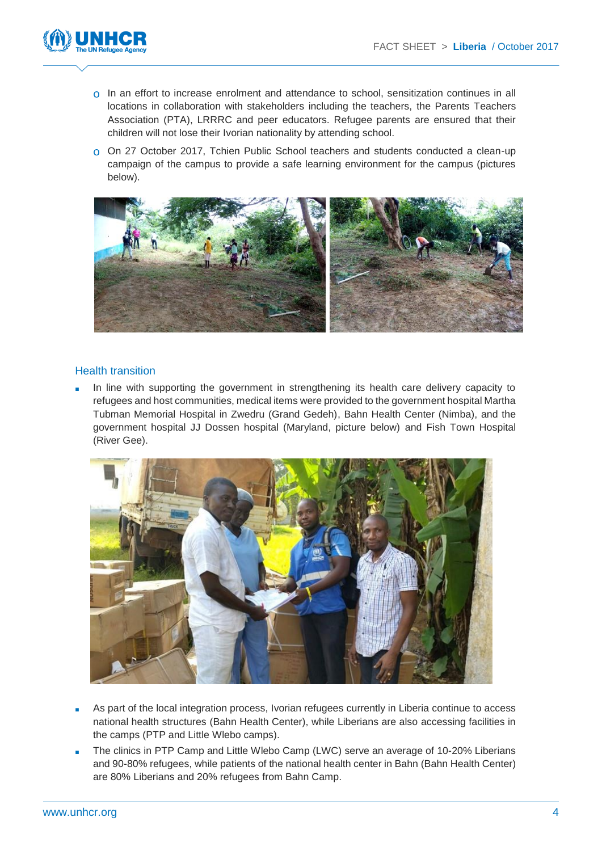

- In an effort to increase enrolment and attendance to school, sensitization continues in all locations in collaboration with stakeholders including the teachers, the Parents Teachers Association (PTA), LRRRC and peer educators. Refugee parents are ensured that their children will not lose their Ivorian nationality by attending school.
- On 27 October 2017, Tchien Public School teachers and students conducted a clean-up campaign of the campus to provide a safe learning environment for the campus (pictures below).



#### Health transition

In line with supporting the government in strengthening its health care delivery capacity to refugees and host communities, medical items were provided to the government hospital Martha Tubman Memorial Hospital in Zwedru (Grand Gedeh), Bahn Health Center (Nimba), and the government hospital JJ Dossen hospital (Maryland, picture below) and Fish Town Hospital (River Gee).



- As part of the local integration process, Ivorian refugees currently in Liberia continue to access national health structures (Bahn Health Center), while Liberians are also accessing facilities in the camps (PTP and Little Wlebo camps).
- The clinics in PTP Camp and Little Wlebo Camp (LWC) serve an average of 10-20% Liberians and 90-80% refugees, while patients of the national health center in Bahn (Bahn Health Center) are 80% Liberians and 20% refugees from Bahn Camp.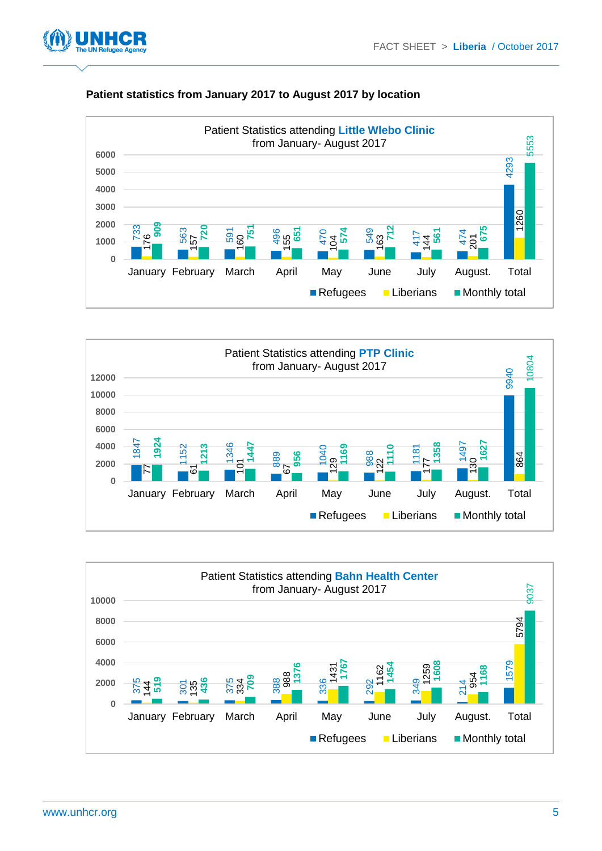



#### **Patient statistics from January 2017 to August 2017 by location**



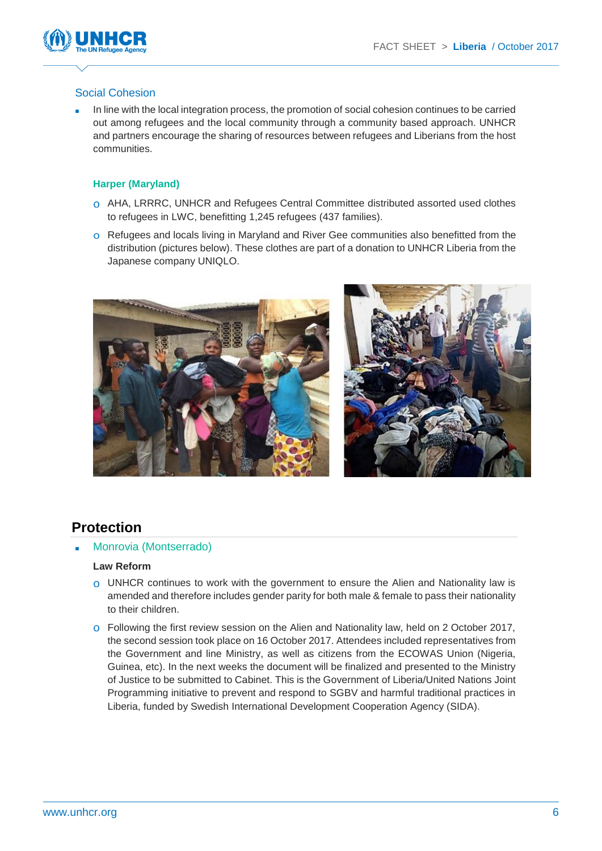

#### Social Cohesion

In line with the local integration process, the promotion of social cohesion continues to be carried out among refugees and the local community through a community based approach. UNHCR and partners encourage the sharing of resources between refugees and Liberians from the host communities.

#### **Harper (Maryland)**

- AHA, LRRRC, UNHCR and Refugees Central Committee distributed assorted used clothes to refugees in LWC, benefitting 1,245 refugees (437 families).
- Refugees and locals living in Maryland and River Gee communities also benefitted from the distribution (pictures below). These clothes are part of a donation to UNHCR Liberia from the Japanese company UNIQLO.



## **Protection**

Monrovia (Montserrado)

#### **Law Reform**

- UNHCR continues to work with the government to ensure the Alien and Nationality law is amended and therefore includes gender parity for both male & female to pass their nationality to their children.
- o Following the first review session on the Alien and Nationality law, held on 2 October 2017, the second session took place on 16 October 2017. Attendees included representatives from the Government and line Ministry, as well as citizens from the ECOWAS Union (Nigeria, Guinea, etc). In the next weeks the document will be finalized and presented to the Ministry of Justice to be submitted to Cabinet. This is the Government of Liberia/United Nations Joint Programming initiative to prevent and respond to SGBV and harmful traditional practices in Liberia, funded by Swedish International Development Cooperation Agency (SIDA).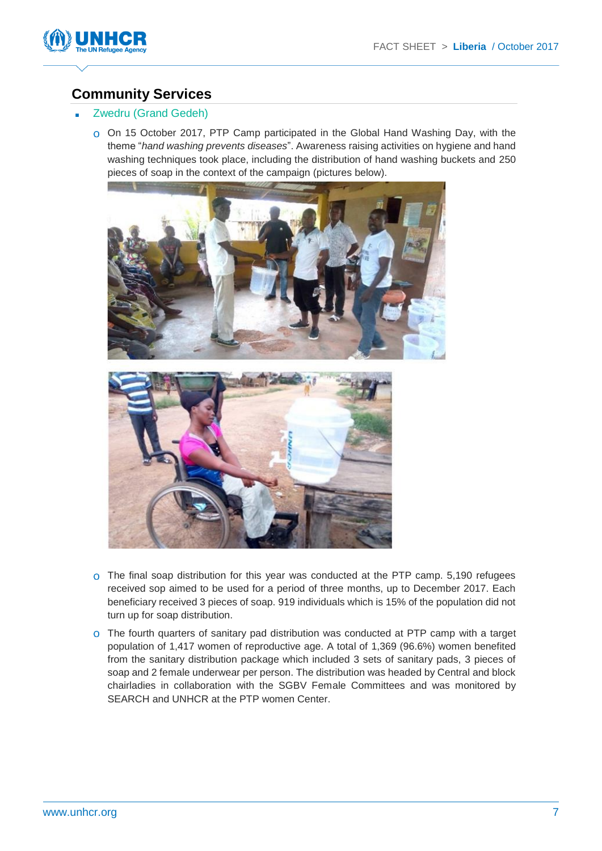

## **Community Services**

#### Zwedru (Grand Gedeh)

On 15 October 2017, PTP Camp participated in the Global Hand Washing Day, with the theme "*hand washing prevents diseases*". Awareness raising activities on hygiene and hand washing techniques took place, including the distribution of hand washing buckets and 250 pieces of soap in the context of the campaign (pictures below).





- The final soap distribution for this year was conducted at the PTP camp. 5,190 refugees received sop aimed to be used for a period of three months, up to December 2017. Each beneficiary received 3 pieces of soap. 919 individuals which is 15% of the population did not turn up for soap distribution.
- The fourth quarters of sanitary pad distribution was conducted at PTP camp with a target population of 1,417 women of reproductive age. A total of 1,369 (96.6%) women benefited from the sanitary distribution package which included 3 sets of sanitary pads, 3 pieces of soap and 2 female underwear per person. The distribution was headed by Central and block chairladies in collaboration with the SGBV Female Committees and was monitored by SEARCH and UNHCR at the PTP women Center.